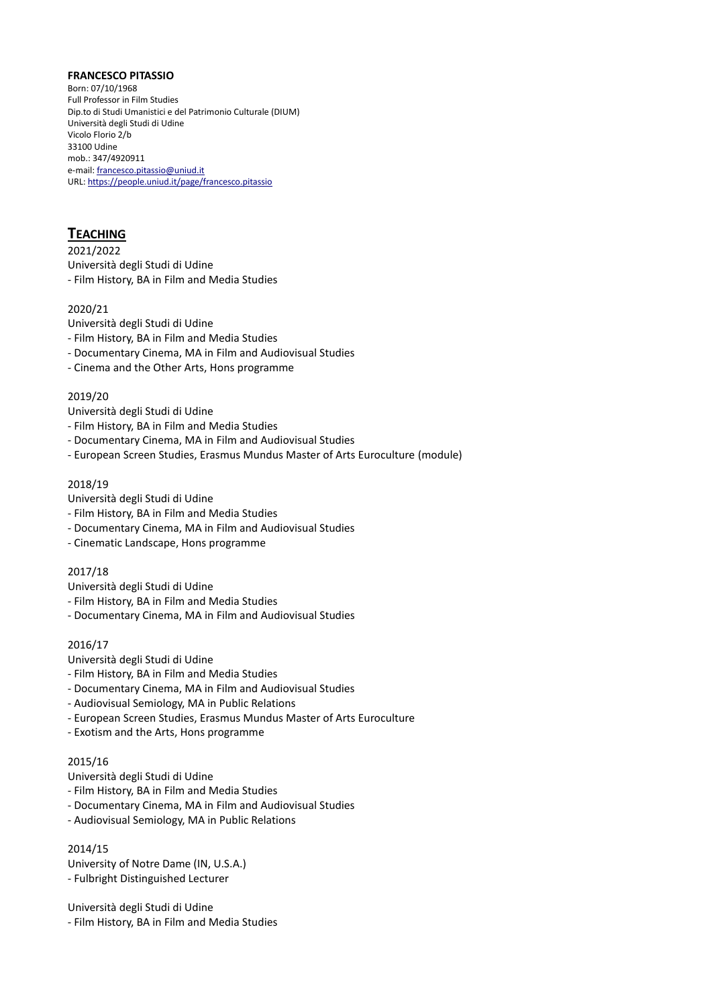#### **FRANCESCO PITASSIO**

Born: 07/10/1968 Full Professor in Film Studies Dip.to di Studi Umanistici e del Patrimonio Culturale (DIUM) Università degli Studi di Udine Vicolo Florio 2/b 33100 Udine mob.: 347/4920911 e-mail[: francesco.pitassio@uniud.it](mailto:francesco.pitassio@uniud.it) URL[: https://people.uniud.it/page/francesco.pitassio](https://people.uniud.it/page/francesco.pitassio)

# **TEACHING**

2021/2022 Università degli Studi di Udine - Film History, BA in Film and Media Studies

## 2020/21

- Università degli Studi di Udine
- Film History, BA in Film and Media Studies
- Documentary Cinema, MA in Film and Audiovisual Studies
- Cinema and the Other Arts, Hons programme

## 2019/20

- Università degli Studi di Udine
- Film History, BA in Film and Media Studies
- Documentary Cinema, MA in Film and Audiovisual Studies
- European Screen Studies, Erasmus Mundus Master of Arts Euroculture (module)

## 2018/19

- Università degli Studi di Udine
- Film History, BA in Film and Media Studies
- Documentary Cinema, MA in Film and Audiovisual Studies
- Cinematic Landscape, Hons programme

## 2017/18

- Università degli Studi di Udine
- Film History, BA in Film and Media Studies
- Documentary Cinema, MA in Film and Audiovisual Studies

## 2016/17

- Università degli Studi di Udine
- Film History, BA in Film and Media Studies
- Documentary Cinema, MA in Film and Audiovisual Studies
- Audiovisual Semiology, MA in Public Relations
- European Screen Studies, Erasmus Mundus Master of Arts Euroculture
- Exotism and the Arts, Hons programme

## 2015/16

- Università degli Studi di Udine
- Film History, BA in Film and Media Studies
- Documentary Cinema, MA in Film and Audiovisual Studies
- Audiovisual Semiology, MA in Public Relations

## 2014/15

University of Notre Dame (IN, U.S.A.) - Fulbright Distinguished Lecturer

Università degli Studi di Udine - Film History, BA in Film and Media Studies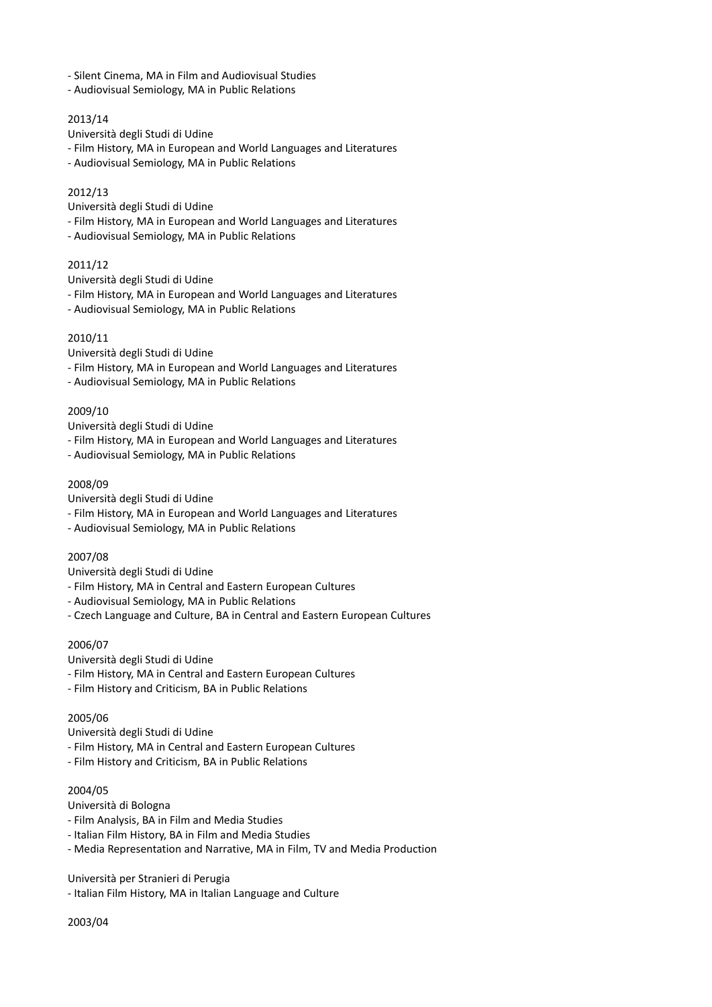- Silent Cinema, MA in Film and Audiovisual Studies
- Audiovisual Semiology, MA in Public Relations

## 2013/14

Università degli Studi di Udine

- Film History, MA in European and World Languages and Literatures
- Audiovisual Semiology, MA in Public Relations

#### 2012/13

Università degli Studi di Udine

- Film History, MA in European and World Languages and Literatures
- Audiovisual Semiology, MA in Public Relations

### 2011/12

Università degli Studi di Udine

- Film History, MA in European and World Languages and Literatures
- Audiovisual Semiology, MA in Public Relations

#### 2010/11

Università degli Studi di Udine

- Film History, MA in European and World Languages and Literatures
- Audiovisual Semiology, MA in Public Relations

## 2009/10

Università degli Studi di Udine

- Film History, MA in European and World Languages and Literatures
- Audiovisual Semiology, MA in Public Relations

#### 2008/09

Università degli Studi di Udine

- Film History, MA in European and World Languages and Literatures
- Audiovisual Semiology, MA in Public Relations

### 2007/08

Università degli Studi di Udine

- Film History, MA in Central and Eastern European Cultures
- Audiovisual Semiology, MA in Public Relations
- Czech Language and Culture, BA in Central and Eastern European Cultures

### 2006/07

Università degli Studi di Udine

- Film History, MA in Central and Eastern European Cultures
- Film History and Criticism, BA in Public Relations

### 2005/06

Università degli Studi di Udine

- Film History, MA in Central and Eastern European Cultures
- Film History and Criticism, BA in Public Relations

### 2004/05

Università di Bologna

- Film Analysis, BA in Film and Media Studies
- Italian Film History, BA in Film and Media Studies
- Media Representation and Narrative, MA in Film, TV and Media Production

Università per Stranieri di Perugia

- Italian Film History, MA in Italian Language and Culture

2003/04